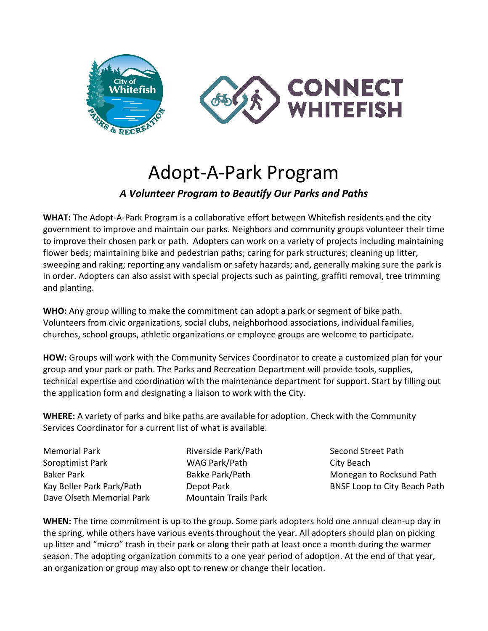

# Adopt-A-Park Program *A Volunteer Program to Beautify Our Parks and Paths*

**WHAT:** The Adopt-A-Park Program is a collaborative effort between Whitefish residents and the city government to improve and maintain our parks. Neighbors and community groups volunteer their time to improve their chosen park or path. Adopters can work on a variety of projects including maintaining flower beds; maintaining bike and pedestrian paths; caring for park structures; cleaning up litter, sweeping and raking; reporting any vandalism or safety hazards; and, generally making sure the park is in order. Adopters can also assist with special projects such as painting, graffiti removal, tree trimming and planting.

**WHO:** Any group willing to make the commitment can adopt a park or segment of bike path. Volunteers from civic organizations, social clubs, neighborhood associations, individual families, churches, school groups, athletic organizations or employee groups are welcome to participate.

**HOW:** Groups will work with the Community Services Coordinator to create a customized plan for your group and your park or path. The Parks and Recreation Department will provide tools, supplies, technical expertise and coordination with the maintenance department for support. Start by filling out the application form and designating a liaison to work with the City.

**WHERE:** A variety of parks and bike paths are available for adoption. Check with the Community Services Coordinator for a current list of what is available.

| <b>Memorial Park</b>      |
|---------------------------|
| Soroptimist Park          |
| <b>Baker Park</b>         |
| Kay Beller Park Park/Path |
| Dave Olseth Memorial Park |

Riverside Park/Path WAG Park/Path Bakke Park/Path Depot Park Mountain Trails Park

Second Street Path City Beach Monegan to Rocksund Path BNSF Loop to City Beach Path

**WHEN:** The time commitment is up to the group. Some park adopters hold one annual clean-up day in the spring, while others have various events throughout the year. All adopters should plan on picking up litter and "micro" trash in their park or along their path at least once a month during the warmer season. The adopting organization commits to a one year period of adoption. At the end of that year, an organization or group may also opt to renew or change their location.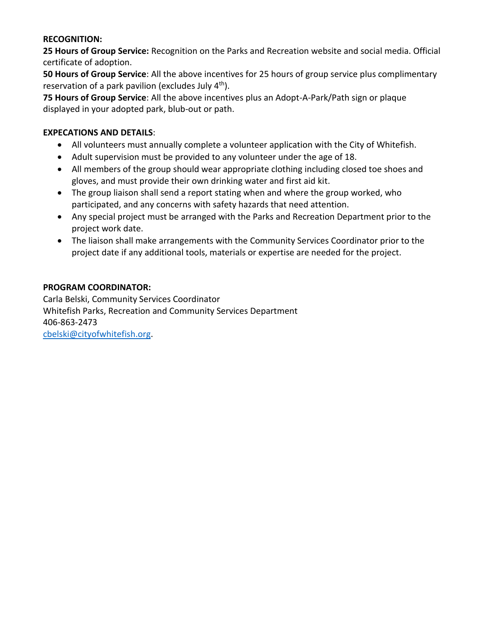#### **RECOGNITION:**

**25 Hours of Group Service:** Recognition on the Parks and Recreation website and social media. Official certificate of adoption.

**50 Hours of Group Service**: All the above incentives for 25 hours of group service plus complimentary reservation of a park pavilion (excludes July  $4<sup>th</sup>$ ).

**75 Hours of Group Service**: All the above incentives plus an Adopt-A-Park/Path sign or plaque displayed in your adopted park, blub-out or path.

#### **EXPECATIONS AND DETAILS**:

- All volunteers must annually complete a volunteer application with the City of Whitefish.
- Adult supervision must be provided to any volunteer under the age of 18.
- All members of the group should wear appropriate clothing including closed toe shoes and gloves, and must provide their own drinking water and first aid kit.
- The group liaison shall send a report stating when and where the group worked, who participated, and any concerns with safety hazards that need attention.
- Any special project must be arranged with the Parks and Recreation Department prior to the project work date.
- The liaison shall make arrangements with the Community Services Coordinator prior to the project date if any additional tools, materials or expertise are needed for the project.

#### **PROGRAM COORDINATOR:**

Carla Belski, Community Services Coordinator Whitefish Parks, Recreation and Community Services Department 406-863-2473 [cbelski@cityofwhitefish.org.](mailto:cbelski@cityofwhitefish.org)